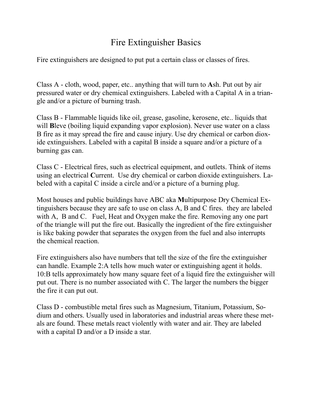## Fire Extinguisher Basics

Fire extinguishers are designed to put put a certain class or classes of fires.

Class A - cloth, wood, paper, etc.. anything that will turn to **A**sh. Put out by air pressured water or dry chemical extinguishers. Labeled with a Capital A in a triangle and/or a picture of burning trash.

Class B - Flammable liquids like oil, grease, gasoline, kerosene, etc.. liquids that will **B**leve (boiling liquid expanding vapor explosion). Never use water on a class B fire as it may spread the fire and cause injury. Use dry chemical or carbon dioxide extinguishers. Labeled with a capital B inside a square and/or a picture of a burning gas can.

Class C - Electrical fires, such as electrical equipment, and outlets. Think of items using an electrical **C**urrent. Use dry chemical or carbon dioxide extinguishers. Labeled with a capital C inside a circle and/or a picture of a burning plug.

Most houses and public buildings have ABC aka **M**ultipurpose Dry Chemical Extinguishers because they are safe to use on class A, B and C fires. they are labeled with A, B and C. Fuel, Heat and Oxygen make the fire. Removing any one part of the triangle will put the fire out. Basically the ingredient of the fire extinguisher is like baking powder that separates the oxygen from the fuel and also interrupts the chemical reaction.

Fire extinguishers also have numbers that tell the size of the fire the extinguisher can handle. Example 2:A tells how much water or extinguishing agent it holds. 10:B tells approximately how many square feet of a liquid fire the extinguisher will put out. There is no number associated with C. The larger the numbers the bigger the fire it can put out.

Class D - combustible metal fires such as Magnesium, Titanium, Potassium, Sodium and others. Usually used in laboratories and industrial areas where these metals are found. These metals react violently with water and air. They are labeled with a capital D and/or a D inside a star.